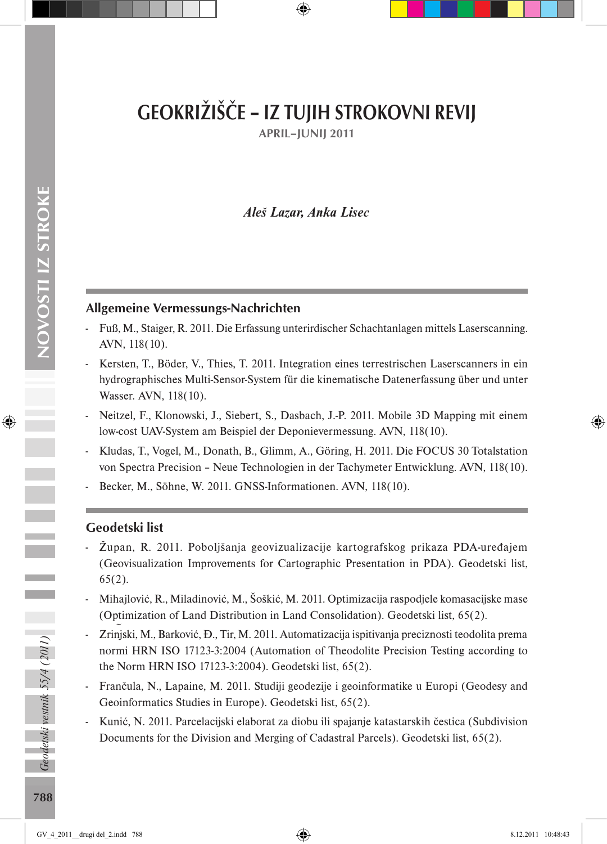# GEOKRIŽIŠČE – IZ TUJIH STROKOVNI REVIJ

APRIL–JUNIJ 2011

# *Aleš Lazar, Anka Lisec*

## Allgemeine Vermessungs-Nachrichten

- Fuß, M., Staiger, R. 2011. Die Erfassung unterirdischer Schachtanlagen mittels Laserscanning. AVN, 118(10).
- Kersten, T., Böder, V., Thies, T. 2011. Integration eines terrestrischen Laserscanners in ein hydrographisches Multi-Sensor-System für die kinematische Datenerfassung über und unter Wasser. AVN, 118(10).
- Neitzel, F., Klonowski, J., Siebert, S., Dasbach, J.-P. 2011. Mobile 3D Mapping mit einem low-cost UAV-System am Beispiel der Deponievermessung. AVN, 118(10).
- Kludas, T., Vogel, M., Donath, B., Glimm, A., Göring, H. 2011. Die FOCUS 30 Totalstation von Spectra Precision – Neue Technologien in der Tachymeter Entwicklung. AVN, 118(10).
- Becker, M., Söhne, W. 2011. GNSS-Informationen. AVN, 118(10).

## Geodetski list

- Župan, R. 2011. Poboljšanja geovizualizacije kartografskog prikaza PDA-uređajem (Geovisualization Improvements for Cartographic Presentation in PDA). Geodetski list, 65(2).
- Mihajlović, R., Miladinović, M., Šoškić, M. 2011. Optimizacija raspodjele komasacijske mase (Optimization of Land Distribution in Land Consolidation). Geodetski list, 65(2).
- Zrinjski, M., Barković, Đ., Tir, M. 2011. Automatizacija ispitivanja preciznosti teodolita prema ~ normi HRN ISO 17123-3:2004 (Automation of Theodolite Precision Testing according to the Norm HRN ISO 17123-3:2004). Geodetski list, 65(2).
- Frančula, N., Lapaine, M. 2011. Studiji geodezije i geoinformatike u Europi (Geodesy and Geoinformatics Studies in Europe). Geodetski list, 65(2).
- Kunić, N. 2011. Parcelacijski elaborat za diobu ili spajanje katastarskih čestica (Subdivision Documents for the Division and Merging of Cadastral Parcels). Geodetski list, 65(2).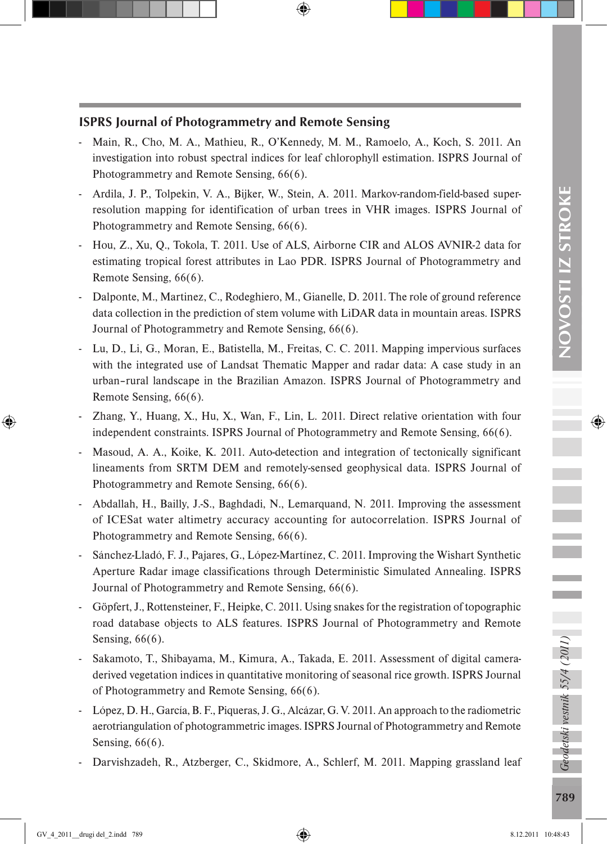Ī

# ISPRS Journal of Photogrammetry and Remote Sensing

- Main, R., Cho, M. A., Mathieu, R., O'Kennedy, M. M., Ramoelo, A., Koch, S. 2011. An investigation into robust spectral indices for leaf chlorophyll estimation. ISPRS Journal of Photogrammetry and Remote Sensing, 66(6).
- Ardila, J. P., Tolpekin, V. A., Bijker, W., Stein, A. 2011. Markov-random-field-based superresolution mapping for identification of urban trees in VHR images. ISPRS Journal of Photogrammetry and Remote Sensing, 66(6).
- Hou, Z., Xu, Q., Tokola, T. 2011. Use of ALS, Airborne CIR and ALOS AVNIR-2 data for estimating tropical forest attributes in Lao PDR. ISPRS Journal of Photogrammetry and Remote Sensing, 66(6).
- Dalponte, M., Martinez, C., Rodeghiero, M., Gianelle, D. 2011. The role of ground reference data collection in the prediction of stem volume with LiDAR data in mountain areas. ISPRS Journal of Photogrammetry and Remote Sensing, 66(6).
- Lu, D., Li, G., Moran, E., Batistella, M., Freitas, C. C. 2011. Mapping impervious surfaces with the integrated use of Landsat Thematic Mapper and radar data: A case study in an urban–rural landscape in the Brazilian Amazon. ISPRS Journal of Photogrammetry and Remote Sensing, 66(6).
- Zhang, Y., Huang, X., Hu, X., Wan, F., Lin, L. 2011. Direct relative orientation with four independent constraints. ISPRS Journal of Photogrammetry and Remote Sensing, 66(6).
- Masoud, A. A., Koike, K. 2011. Auto-detection and integration of tectonically significant lineaments from SRTM DEM and remotely-sensed geophysical data. ISPRS Journal of Photogrammetry and Remote Sensing, 66(6).
- Abdallah, H., Bailly, J.-S., Baghdadi, N., Lemarquand, N. 2011. Improving the assessment of ICESat water altimetry accuracy accounting for autocorrelation. ISPRS Journal of Photogrammetry and Remote Sensing, 66(6).
- Sánchez-Lladó, F. J., Pajares, G., López-Martínez, C. 2011. Improving the Wishart Synthetic Aperture Radar image classifications through Deterministic Simulated Annealing. ISPRS Journal of Photogrammetry and Remote Sensing, 66(6).
- Göpfert, J., Rottensteiner, F., Heipke, C. 2011. Using snakes for the registration of topographic road database objects to ALS features. ISPRS Journal of Photogrammetry and Remote Sensing, 66(6).
- Sakamoto, T., Shibayama, M., Kimura, A., Takada, E. 2011. Assessment of digital cameraderived vegetation indices in quantitative monitoring of seasonal rice growth. ISPRS Journal of Photogrammetry and Remote Sensing, 66(6).
- López, D. H., García, B. F., Piqueras, J. G., Alcázar, G. V. 2011. An approach to the radiometric aerotriangulation of photogrammetric images. ISPRS Journal of Photogrammetry and Remote Sensing, 66(6).
- Darvishzadeh, R., Atzberger, C., Skidmore, A., Schlerf, M. 2011. Mapping grassland leaf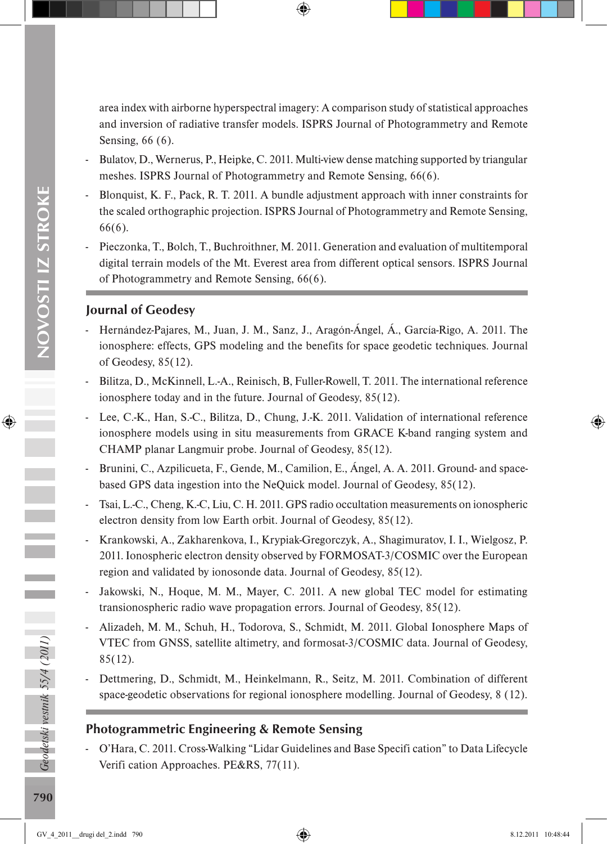area index with airborne hyperspectral imagery: A comparison study of statistical approaches and inversion of radiative transfer models. ISPRS Journal of Photogrammetry and Remote Sensing, 66 (6).

- Bulatov, D., Wernerus, P., Heipke, C. 2011. Multi-view dense matching supported by triangular meshes. ISPRS Journal of Photogrammetry and Remote Sensing, 66(6).
- Blonquist, K. F., Pack, R. T. 2011. A bundle adjustment approach with inner constraints for the scaled orthographic projection. ISPRS Journal of Photogrammetry and Remote Sensing, 66(6).
- Pieczonka, T., Bolch, T., Buchroithner, M. 2011. Generation and evaluation of multitemporal digital terrain models of the Mt. Everest area from different optical sensors. ISPRS Journal of Photogrammetry and Remote Sensing, 66(6).

# Journal of Geodesy

- Hernández-Pajares, M., Juan, J. M., Sanz, J., Aragón-Ángel, Á., García-Rigo, A. 2011. The ionosphere: effects, GPS modeling and the benefits for space geodetic techniques. Journal of Geodesy, 85(12).
- Bilitza, D., McKinnell, L.-A., Reinisch, B, Fuller-Rowell, T. 2011. The international reference ionosphere today and in the future. Journal of Geodesy, 85(12).
- Lee, C.-K., Han, S.-C., Bilitza, D., Chung, J.-K. 2011. Validation of international reference ionosphere models using in situ measurements from GRACE K-band ranging system and CHAMP planar Langmuir probe. Journal of Geodesy, 85(12).
- Brunini, C., Azpilicueta, F., Gende, M., Camilion, E., Ángel, A. A. 2011. Ground- and spacebased GPS data ingestion into the NeQuick model. Journal of Geodesy, 85(12).
- Tsai, L.-C., Cheng, K.-C, Liu, C. H. 2011. GPS radio occultation measurements on ionospheric electron density from low Earth orbit. Journal of Geodesy, 85(12).
- Krankowski, A., Zakharenkova, I., Krypiak-Gregorczyk, A., Shagimuratov, I. I., Wielgosz, P. 2011. Ionospheric electron density observed by FORMOSAT-3/COSMIC over the European region and validated by ionosonde data. Journal of Geodesy, 85(12).
- Jakowski, N., Hoque, M. M., Mayer, C. 2011. A new global TEC model for estimating transionospheric radio wave propagation errors. Journal of Geodesy, 85(12).
- Alizadeh, M. M., Schuh, H., Todorova, S., Schmidt, M. 2011. Global Ionosphere Maps of VTEC from GNSS, satellite altimetry, and formosat-3/COSMIC data. Journal of Geodesy, 85(12).
- Dettmering, D., Schmidt, M., Heinkelmann, R., Seitz, M. 2011. Combination of different space-geodetic observations for regional ionosphere modelling. Journal of Geodesy, 8 (12).

## Photogrammetric Engineering & Remote Sensing

- O'Hara, C. 2011. Cross-Walking "Lidar Guidelines and Base Specifi cation" to Data Lifecycle Verifi cation Approaches. PE&RS, 77(11).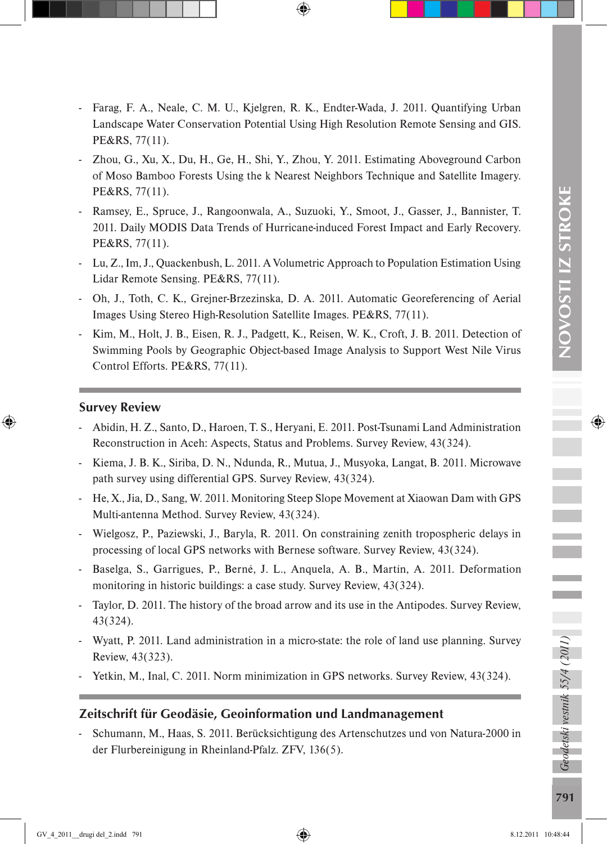- Farag, F. A., Neale, C. M. U., Kjelgren, R. K., Endter-Wada, J. 2011. Quantifying Urban Landscape Water Conservation Potential Using High Resolution Remote Sensing and GIS. PE&RS, 77(11).
- Zhou, G., Xu, X., Du, H., Ge, H., Shi, Y., Zhou, Y. 2011. Estimating Aboveground Carbon of Moso Bamboo Forests Using the k Nearest Neighbors Technique and Satellite Imagery. PE&RS, 77(11).
- Ramsey, E., Spruce, J., Rangoonwala, A., Suzuoki, Y., Smoot, J., Gasser, J., Bannister, T. 2011. Daily MODIS Data Trends of Hurricane-induced Forest Impact and Early Recovery. PE&RS, 77(11).
- Lu, Z., Im, J., Quackenbush, L. 2011. A Volumetric Approach to Population Estimation Using Lidar Remote Sensing. PE&RS, 77(11).
- Oh, J., Toth, C. K., Grejner-Brzezinska, D. A. 2011. Automatic Georeferencing of Aerial Images Using Stereo High-Resolution Satellite Images. PE&RS, 77(11).
- Kim, M., Holt, J. B., Eisen, R. J., Padgett, K., Reisen, W. K., Croft, J. B. 2011. Detection of Swimming Pools by Geographic Object-based Image Analysis to Support West Nile Virus Control Efforts. PE&RS, 77(11).

#### Survey Review

- Abidin, H. Z., Santo, D., Haroen, T. S., Heryani, E. 2011. Post-Tsunami Land Administration Reconstruction in Aceh: Aspects, Status and Problems. Survey Review, 43(324).
- Kiema, J. B. K., Siriba, D. N., Ndunda, R., Mutua, J., Musyoka, Langat, B. 2011. Microwave path survey using differential GPS. Survey Review, 43(324).
- He, X., Jia, D., Sang, W. 2011. Monitoring Steep Slope Movement at Xiaowan Dam with GPS Multi-antenna Method. Survey Review, 43(324).
- Wielgosz, P., Paziewski, J., Baryla, R. 2011. On constraining zenith tropospheric delays in processing of local GPS networks with Bernese software. Survey Review, 43(324).
- Baselga, S., Garrigues, P., Berné, J. L., Anquela, A. B., Martín, A. 2011. Deformation monitoring in historic buildings: a case study. Survey Review, 43(324).
- Taylor, D. 2011. The history of the broad arrow and its use in the Antipodes. Survey Review, 43(324).
- Wyatt, P. 2011. Land administration in a micro-state: the role of land use planning. Survey Review, 43(323).
- Yetkin, M., Inal, C. 2011. Norm minimization in GPS networks. Survey Review, 43(324).

## Zeitschrift für Geodäsie, Geoinformation und Landmanagement

- Schumann, M., Haas, S. 2011. Berücksichtigung des Artenschutzes und von Natura-2000 in der Flurbereinigung in Rheinland-Pfalz. ZFV, 136(5).